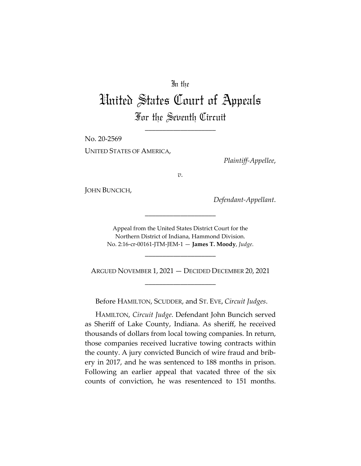# In the

# United States Court of Appeals For the Seventh Circuit

\_\_\_\_\_\_\_\_\_\_\_\_\_\_\_\_\_\_\_\_

No. 20-2569

UNITED STATES OF AMERICA,

*Plaintiff-Appellee*,

*v.*

JOHN BUNCICH,

*Defendant-Appellant*.

Appeal from the United States District Court for the Northern District of Indiana, Hammond Division. No. 2:16-cr-00161-JTM-JEM-1 — **James T. Moody**, *Judge*.

\_\_\_\_\_\_\_\_\_\_\_\_\_\_\_\_\_\_\_\_

\_\_\_\_\_\_\_\_\_\_\_\_\_\_\_\_\_\_\_\_

ARGUED NOVEMBER 1, 2021 — DECIDED DECEMBER 20, 2021 \_\_\_\_\_\_\_\_\_\_\_\_\_\_\_\_\_\_\_\_

Before HAMILTON, SCUDDER, and ST. EVE, *Circuit Judges*.

HAMILTON, *Circuit Judge*. Defendant John Buncich served as Sheriff of Lake County, Indiana. As sheriff, he received thousands of dollars from local towing companies. In return, those companies received lucrative towing contracts within the county. A jury convicted Buncich of wire fraud and bribery in 2017, and he was sentenced to 188 months in prison. Following an earlier appeal that vacated three of the six counts of conviction, he was resentenced to 151 months.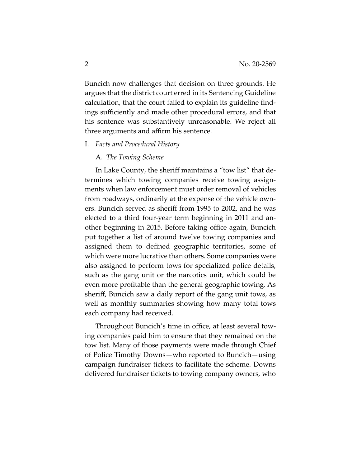Buncich now challenges that decision on three grounds. He argues that the district court erred in its Sentencing Guideline calculation, that the court failed to explain its guideline findings sufficiently and made other procedural errors, and that his sentence was substantively unreasonable. We reject all three arguments and affirm his sentence.

I. *Facts and Procedural History*

## A. *The Towing Scheme*

In Lake County, the sheriff maintains a "tow list" that determines which towing companies receive towing assignments when law enforcement must order removal of vehicles from roadways, ordinarily at the expense of the vehicle owners. Buncich served as sheriff from 1995 to 2002, and he was elected to a third four-year term beginning in 2011 and another beginning in 2015. Before taking office again, Buncich put together a list of around twelve towing companies and assigned them to defined geographic territories, some of which were more lucrative than others. Some companies were also assigned to perform tows for specialized police details, such as the gang unit or the narcotics unit, which could be even more profitable than the general geographic towing. As sheriff, Buncich saw a daily report of the gang unit tows, as well as monthly summaries showing how many total tows each company had received.

Throughout Buncich's time in office, at least several towing companies paid him to ensure that they remained on the tow list. Many of those payments were made through Chief of Police Timothy Downs—who reported to Buncich—using campaign fundraiser tickets to facilitate the scheme. Downs delivered fundraiser tickets to towing company owners, who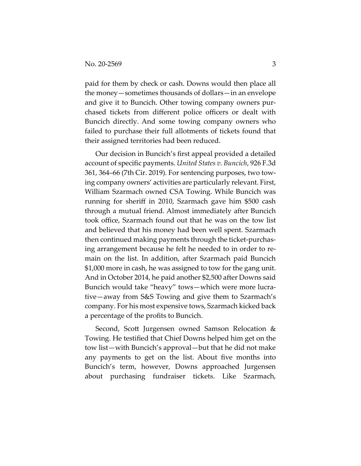paid for them by check or cash. Downs would then place all the money—sometimes thousands of dollars—in an envelope and give it to Buncich. Other towing company owners purchased tickets from different police officers or dealt with Buncich directly. And some towing company owners who failed to purchase their full allotments of tickets found that their assigned territories had been reduced.

Our decision in Buncich's first appeal provided a detailed account of specific payments. *United States v. Buncich*, 926 F.3d 361, 364–66 (7th Cir. 2019). For sentencing purposes, two towing company owners' activities are particularly relevant. First, William Szarmach owned CSA Towing. While Buncich was running for sheriff in 2010, Szarmach gave him \$500 cash through a mutual friend. Almost immediately after Buncich took office, Szarmach found out that he was on the tow list and believed that his money had been well spent. Szarmach then continued making payments through the ticket-purchasing arrangement because he felt he needed to in order to remain on the list. In addition, after Szarmach paid Buncich \$1,000 more in cash, he was assigned to tow for the gang unit. And in October 2014, he paid another \$2,500 after Downs said Buncich would take "heavy" tows—which were more lucrative—away from S&S Towing and give them to Szarmach's company. For his most expensive tows, Szarmach kicked back a percentage of the profits to Buncich.

Second, Scott Jurgensen owned Samson Relocation & Towing. He testified that Chief Downs helped him get on the tow list—with Buncich's approval—but that he did not make any payments to get on the list. About five months into Buncich's term, however, Downs approached Jurgensen about purchasing fundraiser tickets. Like Szarmach,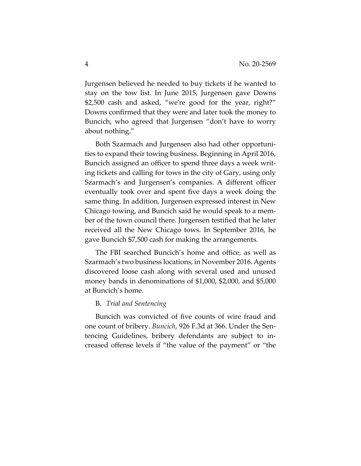Jurgensen believed he needed to buy tickets if he wanted to stay on the tow list. In June 2015, Jurgensen gave Downs \$2,500 cash and asked, "we're good for the year, right?" Downs confirmed that they were and later took the money to Buncich, who agreed that Jurgensen "don't have to worry about nothing."

Both Szarmach and Jurgensen also had other opportunities to expand their towing business. Beginning in April 2016, Buncich assigned an officer to spend three days a week writing tickets and calling for tows in the city of Gary, using only Szarmach's and Jurgensen's companies. A different officer eventually took over and spent five days a week doing the same thing. In addition, Jurgensen expressed interest in New Chicago towing, and Buncich said he would speak to a member of the town council there. Jurgensen testified that he later received all the New Chicago tows. In September 2016, he gave Buncich \$7,500 cash for making the arrangements.

The FBI searched Buncich's home and office, as well as Szarmach's two business locations, in November 2016. Agents discovered loose cash along with several used and unused money bands in denominations of \$1,000, \$2,000, and \$5,000 at Buncich's home.

# B. *Trial and Sentencing*

Buncich was convicted of five counts of wire fraud and one count of bribery. *Buncich*, 926 F.3d at 366. Under the Sentencing Guidelines, bribery defendants are subject to increased offense levels if "the value of the payment" or "the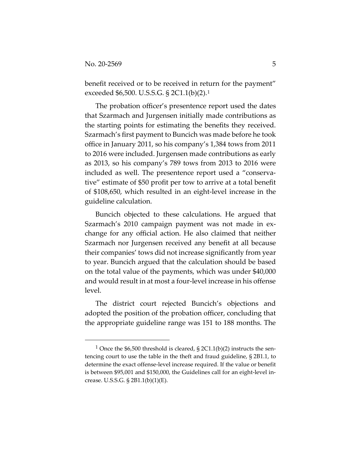benefit received or to be received in return for the payment" exceeded \$6,500. U.S.S.G. § 2C1.1(b)(2).1

The probation officer's presentence report used the dates that Szarmach and Jurgensen initially made contributions as the starting points for estimating the benefits they received. Szarmach's first payment to Buncich was made before he took office in January 2011, so his company's 1,384 tows from 2011 to 2016 were included. Jurgensen made contributions as early as 2013, so his company's 789 tows from 2013 to 2016 were included as well. The presentence report used a "conservative" estimate of \$50 profit per tow to arrive at a total benefit of \$108,650, which resulted in an eight-level increase in the guideline calculation.

Buncich objected to these calculations. He argued that Szarmach's 2010 campaign payment was not made in exchange for any official action. He also claimed that neither Szarmach nor Jurgensen received any benefit at all because their companies' tows did not increase significantly from year to year. Buncich argued that the calculation should be based on the total value of the payments, which was under \$40,000 and would result in at most a four-level increase in his offense level.

The district court rejected Buncich's objections and adopted the position of the probation officer, concluding that the appropriate guideline range was 151 to 188 months. The

<sup>&</sup>lt;sup>1</sup> Once the \$6,500 threshold is cleared,  $\S 2C1.1(b)(2)$  instructs the sentencing court to use the table in the theft and fraud guideline, § 2B1.1, to determine the exact offense-level increase required. If the value or benefit is between \$95,001 and \$150,000, the Guidelines call for an eight-level increase. U.S.S.G. § 2B1.1(b)(1)(E).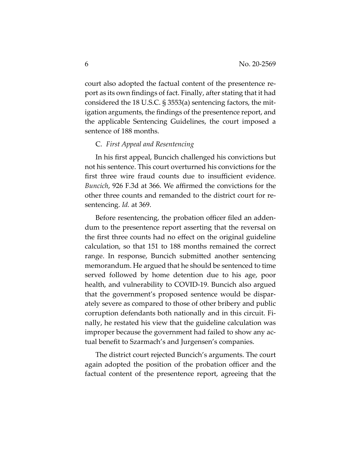court also adopted the factual content of the presentence report as its own findings of fact. Finally, after stating that it had considered the 18 U.S.C. § 3553(a) sentencing factors, the mitigation arguments, the findings of the presentence report, and the applicable Sentencing Guidelines, the court imposed a sentence of 188 months.

# C. *First Appeal and Resentencing*

In his first appeal, Buncich challenged his convictions but not his sentence. This court overturned his convictions for the first three wire fraud counts due to insufficient evidence. *Buncich*, 926 F.3d at 366. We affirmed the convictions for the other three counts and remanded to the district court for resentencing. *Id.* at 369.

Before resentencing, the probation officer filed an addendum to the presentence report asserting that the reversal on the first three counts had no effect on the original guideline calculation, so that 151 to 188 months remained the correct range. In response, Buncich submitted another sentencing memorandum. He argued that he should be sentenced to time served followed by home detention due to his age, poor health, and vulnerability to COVID-19. Buncich also argued that the government's proposed sentence would be disparately severe as compared to those of other bribery and public corruption defendants both nationally and in this circuit. Finally, he restated his view that the guideline calculation was improper because the government had failed to show any actual benefit to Szarmach's and Jurgensen's companies.

The district court rejected Buncich's arguments. The court again adopted the position of the probation officer and the factual content of the presentence report, agreeing that the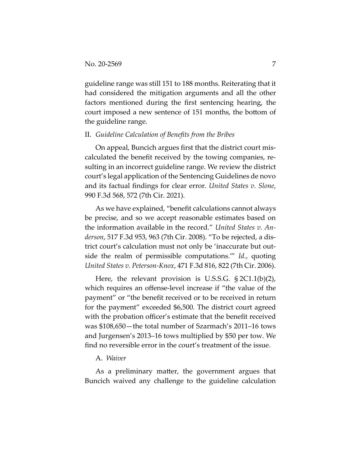guideline range was still 151 to 188 months. Reiterating that it had considered the mitigation arguments and all the other factors mentioned during the first sentencing hearing, the court imposed a new sentence of 151 months, the bottom of the guideline range.

## II. *Guideline Calculation of Benefits from the Bribes*

On appeal, Buncich argues first that the district court miscalculated the benefit received by the towing companies, resulting in an incorrect guideline range. We review the district court's legal application of the Sentencing Guidelines de novo and its factual findings for clear error. *United States v. Slone*, 990 F.3d 568, 572 (7th Cir. 2021).

As we have explained, "benefit calculations cannot always be precise, and so we accept reasonable estimates based on the information available in the record." *United States v. Anderson*, 517 F.3d 953, 963 (7th Cir. 2008). "To be rejected, a district court's calculation must not only be 'inaccurate but outside the realm of permissible computations.'" *Id.*, quoting *United States v. Peterson-Knox*, 471 F.3d 816, 822 (7th Cir. 2006).

Here, the relevant provision is U.S.S.G. § 2C1.1(b)(2), which requires an offense-level increase if "the value of the payment" or "the benefit received or to be received in return for the payment" exceeded \$6,500. The district court agreed with the probation officer's estimate that the benefit received was \$108,650—the total number of Szarmach's 2011–16 tows and Jurgensen's 2013–16 tows multiplied by \$50 per tow. We find no reversible error in the court's treatment of the issue.

#### A. *Waiver*

As a preliminary matter, the government argues that Buncich waived any challenge to the guideline calculation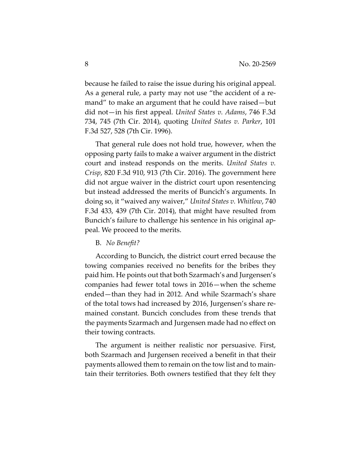because he failed to raise the issue during his original appeal. As a general rule, a party may not use "the accident of a remand" to make an argument that he could have raised—but did not—in his first appeal. *United States v. Adams*, 746 F.3d 734, 745 (7th Cir. 2014), quoting *United States v. Parker*, 101 F.3d 527, 528 (7th Cir. 1996).

That general rule does not hold true, however, when the opposing party fails to make a waiver argument in the district court and instead responds on the merits. *United States v. Crisp*, 820 F.3d 910, 913 (7th Cir. 2016). The government here did not argue waiver in the district court upon resentencing but instead addressed the merits of Buncich's arguments. In doing so, it "waived any waiver," *United States v. Whitlow*, 740 F.3d 433, 439 (7th Cir. 2014), that might have resulted from Buncich's failure to challenge his sentence in his original appeal. We proceed to the merits.

#### B. *No Benefit?*

According to Buncich, the district court erred because the towing companies received no benefits for the bribes they paid him. He points out that both Szarmach's and Jurgensen's companies had fewer total tows in 2016—when the scheme ended—than they had in 2012. And while Szarmach's share of the total tows had increased by 2016, Jurgensen's share remained constant. Buncich concludes from these trends that the payments Szarmach and Jurgensen made had no effect on their towing contracts.

The argument is neither realistic nor persuasive. First, both Szarmach and Jurgensen received a benefit in that their payments allowed them to remain on the tow list and to maintain their territories. Both owners testified that they felt they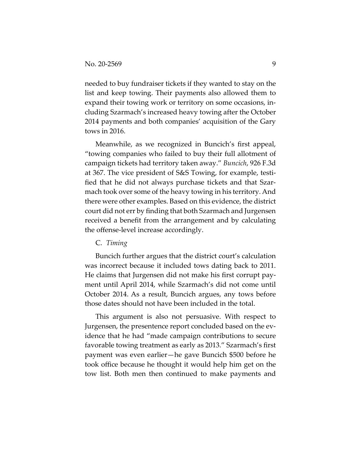needed to buy fundraiser tickets if they wanted to stay on the list and keep towing. Their payments also allowed them to expand their towing work or territory on some occasions, including Szarmach's increased heavy towing after the October 2014 payments and both companies' acquisition of the Gary tows in 2016.

Meanwhile, as we recognized in Buncich's first appeal, "towing companies who failed to buy their full allotment of campaign tickets had territory taken away." *Buncich*, 926 F.3d at 367. The vice president of S&S Towing, for example, testified that he did not always purchase tickets and that Szarmach took over some of the heavy towing in his territory. And there were other examples. Based on this evidence, the district court did not err by finding that both Szarmach and Jurgensen received a benefit from the arrangement and by calculating the offense-level increase accordingly.

#### C. *Timing*

Buncich further argues that the district court's calculation was incorrect because it included tows dating back to 2011. He claims that Jurgensen did not make his first corrupt payment until April 2014, while Szarmach's did not come until October 2014. As a result, Buncich argues, any tows before those dates should not have been included in the total.

This argument is also not persuasive. With respect to Jurgensen, the presentence report concluded based on the evidence that he had "made campaign contributions to secure favorable towing treatment as early as 2013." Szarmach's first payment was even earlier—he gave Buncich \$500 before he took office because he thought it would help him get on the tow list. Both men then continued to make payments and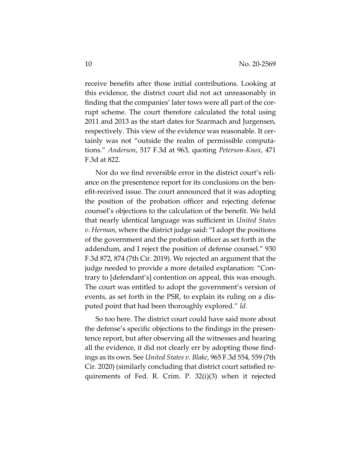receive benefits after those initial contributions. Looking at this evidence, the district court did not act unreasonably in finding that the companies' later tows were all part of the corrupt scheme. The court therefore calculated the total using 2011 and 2013 as the start dates for Szarmach and Jurgensen, respectively. This view of the evidence was reasonable. It certainly was not "outside the realm of permissible computations." *Anderson*, 517 F.3d at 963, quoting *Peterson-Knox*, 471 F.3d at 822.

Nor do we find reversible error in the district court's reliance on the presentence report for its conclusions on the benefit-received issue. The court announced that it was adopting the position of the probation officer and rejecting defense counsel's objections to the calculation of the benefit. We held that nearly identical language was sufficient in *United States v. Herman*, where the district judge said: "I adopt the positions of the government and the probation officer as set forth in the addendum, and I reject the position of defense counsel." 930 F.3d 872, 874 (7th Cir. 2019). We rejected an argument that the judge needed to provide a more detailed explanation: "Contrary to [defendant's] contention on appeal, this was enough. The court was entitled to adopt the government's version of events, as set forth in the PSR, to explain its ruling on a disputed point that had been thoroughly explored." *Id.*

So too here. The district court could have said more about the defense's specific objections to the findings in the presentence report, but after observing all the witnesses and hearing all the evidence, it did not clearly err by adopting those findings as its own. See *United States v. Blake*, 965 F.3d 554, 559 (7th Cir. 2020) (similarly concluding that district court satisfied requirements of Fed. R. Crim. P. 32(i)(3) when it rejected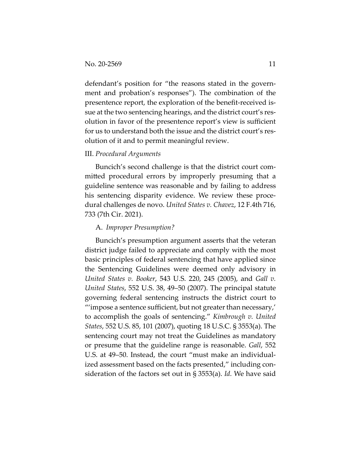defendant's position for "the reasons stated in the government and probation's responses"). The combination of the presentence report, the exploration of the benefit-received issue at the two sentencing hearings, and the district court's resolution in favor of the presentence report's view is sufficient for us to understand both the issue and the district court's resolution of it and to permit meaningful review.

#### III. *Procedural Arguments*

Buncich's second challenge is that the district court committed procedural errors by improperly presuming that a guideline sentence was reasonable and by failing to address his sentencing disparity evidence. We review these procedural challenges de novo. *United States v. Chavez*, 12 F.4th 716, 733 (7th Cir. 2021).

#### A. *Improper Presumption?*

Buncich's presumption argument asserts that the veteran district judge failed to appreciate and comply with the most basic principles of federal sentencing that have applied since the Sentencing Guidelines were deemed only advisory in *United States v. Booker*, 543 U.S. 220, 245 (2005), and *Gall v. United States*, 552 U.S. 38, 49–50 (2007). The principal statute governing federal sentencing instructs the district court to "'impose a sentence sufficient, but not greater than necessary,' to accomplish the goals of sentencing." *Kimbrough v. United States*, 552 U.S. 85, 101 (2007), quoting 18 U.S.C. § 3553(a). The sentencing court may not treat the Guidelines as mandatory or presume that the guideline range is reasonable. *Gall*, 552 U.S. at 49–50. Instead, the court "must make an individualized assessment based on the facts presented," including consideration of the factors set out in § 3553(a). *Id.* We have said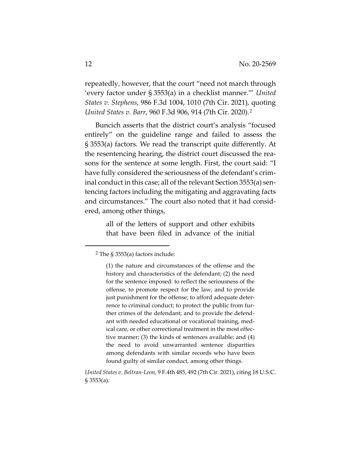repeatedly, however, that the court "need not march through 'every factor under § 3553(a) in a checklist manner.'" *United States v. Stephens*, 986 F.3d 1004, 1010 (7th Cir. 2021), quoting *United States v. Barr*, 960 F.3d 906, 914 (7th Cir. 2020).2

Buncich asserts that the district court's analysis "focused entirely" on the guideline range and failed to assess the § 3553(a) factors. We read the transcript quite differently. At the resentencing hearing, the district court discussed the reasons for the sentence at some length. First, the court said: "I have fully considered the seriousness of the defendant's criminal conduct in this case; all of the relevant Section 3553(a) sentencing factors including the mitigating and aggravating facts and circumstances." The court also noted that it had considered, among other things,

> all of the letters of support and other exhibits that have been filed in advance of the initial

<sup>2</sup> The § 3553(a) factors include:

<sup>(1)</sup> the nature and circumstances of the offense and the history and characteristics of the defendant; (2) the need for the sentence imposed: to reflect the seriousness of the offense, to promote respect for the law, and to provide just punishment for the offense; to afford adequate deterrence to criminal conduct; to protect the public from further crimes of the defendant; and to provide the defendant with needed educational or vocational training, medical care, or other correctional treatment in the most effective manner; (3) the kinds of sentences available; and (4) the need to avoid unwarranted sentence disparities among defendants with similar records who have been found guilty of similar conduct, among other things.

*United States v. Beltran-Leon*, 9 F.4th 485, 492 (7th Cir. 2021), citing 18 U.S.C. § 3553(a).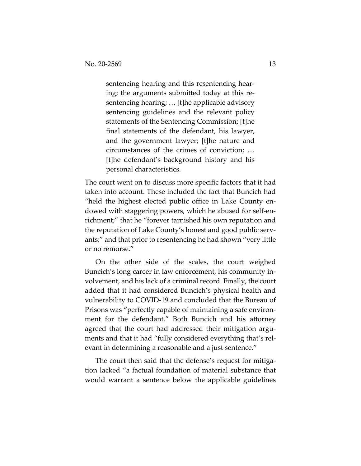sentencing hearing and this resentencing hearing; the arguments submitted today at this resentencing hearing; … [t]he applicable advisory sentencing guidelines and the relevant policy statements of the Sentencing Commission; [t]he final statements of the defendant, his lawyer, and the government lawyer; [t]he nature and circumstances of the crimes of conviction; … [t]he defendant's background history and his personal characteristics.

The court went on to discuss more specific factors that it had taken into account. These included the fact that Buncich had "held the highest elected public office in Lake County endowed with staggering powers, which he abused for self-enrichment;" that he "forever tarnished his own reputation and the reputation of Lake County's honest and good public servants;" and that prior to resentencing he had shown "very little or no remorse."

On the other side of the scales, the court weighed Buncich's long career in law enforcement, his community involvement, and his lack of a criminal record. Finally, the court added that it had considered Buncich's physical health and vulnerability to COVID-19 and concluded that the Bureau of Prisons was "perfectly capable of maintaining a safe environment for the defendant." Both Buncich and his attorney agreed that the court had addressed their mitigation arguments and that it had "fully considered everything that's relevant in determining a reasonable and a just sentence."

The court then said that the defense's request for mitigation lacked "a factual foundation of material substance that would warrant a sentence below the applicable guidelines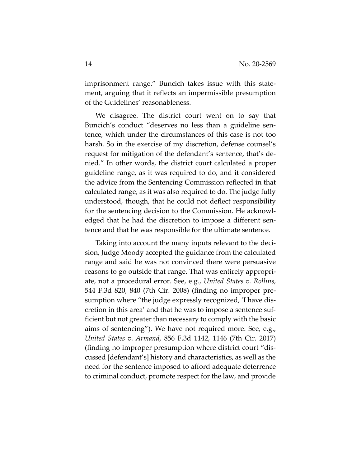imprisonment range." Buncich takes issue with this statement, arguing that it reflects an impermissible presumption of the Guidelines' reasonableness.

We disagree. The district court went on to say that Buncich's conduct "deserves no less than a guideline sentence, which under the circumstances of this case is not too harsh. So in the exercise of my discretion, defense counsel's request for mitigation of the defendant's sentence, that's denied." In other words, the district court calculated a proper guideline range, as it was required to do, and it considered the advice from the Sentencing Commission reflected in that calculated range, as it was also required to do. The judge fully understood, though, that he could not deflect responsibility for the sentencing decision to the Commission. He acknowledged that he had the discretion to impose a different sentence and that he was responsible for the ultimate sentence.

Taking into account the many inputs relevant to the decision, Judge Moody accepted the guidance from the calculated range and said he was not convinced there were persuasive reasons to go outside that range. That was entirely appropriate, not a procedural error. See, e.g., *United States v. Rollins*, 544 F.3d 820, 840 (7th Cir. 2008) (finding no improper presumption where "the judge expressly recognized, 'I have discretion in this area' and that he was to impose a sentence sufficient but not greater than necessary to comply with the basic aims of sentencing"). We have not required more. See, e.g., *United States v. Armand*, 856 F.3d 1142, 1146 (7th Cir. 2017) (finding no improper presumption where district court "discussed [defendant's] history and characteristics, as well as the need for the sentence imposed to afford adequate deterrence to criminal conduct, promote respect for the law, and provide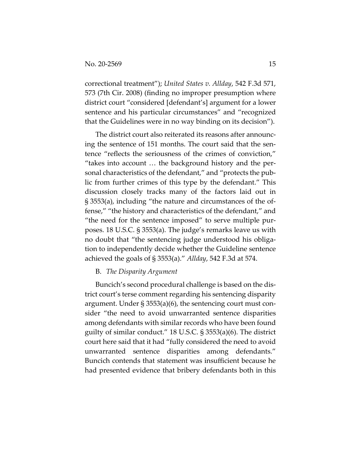correctional treatment"); *United States v. Allday*, 542 F.3d 571, 573 (7th Cir. 2008) (finding no improper presumption where district court "considered [defendant's] argument for a lower sentence and his particular circumstances" and "recognized that the Guidelines were in no way binding on its decision").

The district court also reiterated its reasons after announcing the sentence of 151 months. The court said that the sentence "reflects the seriousness of the crimes of conviction," "takes into account … the background history and the personal characteristics of the defendant," and "protects the public from further crimes of this type by the defendant." This discussion closely tracks many of the factors laid out in § 3553(a), including "the nature and circumstances of the offense," "the history and characteristics of the defendant," and "the need for the sentence imposed" to serve multiple purposes. 18 U.S.C. § 3553(a). The judge's remarks leave us with no doubt that "the sentencing judge understood his obligation to independently decide whether the Guideline sentence achieved the goals of § 3553(a)." *Allday*, 542 F.3d at 574.

#### B. *The Disparity Argument*

Buncich's second procedural challenge is based on the district court's terse comment regarding his sentencing disparity argument. Under § 3553(a)(6), the sentencing court must consider "the need to avoid unwarranted sentence disparities among defendants with similar records who have been found guilty of similar conduct." 18 U.S.C. § 3553(a)(6). The district court here said that it had "fully considered the need to avoid unwarranted sentence disparities among defendants." Buncich contends that statement was insufficient because he had presented evidence that bribery defendants both in this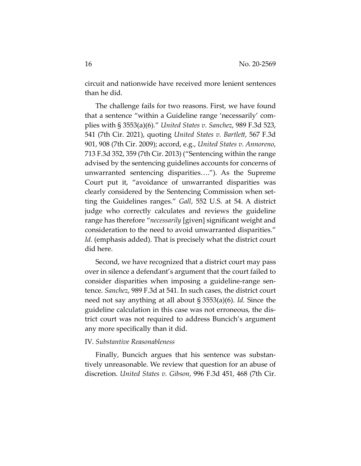circuit and nationwide have received more lenient sentences than he did.

The challenge fails for two reasons. First, we have found that a sentence "within a Guideline range 'necessarily' complies with § 3553(a)(6)." *United States v. Sanchez*, 989 F.3d 523, 541 (7th Cir. 2021), quoting *United States v. Bartlett*, 567 F.3d 901, 908 (7th Cir. 2009); accord, e.g., *United States v. Annoreno*, 713 F.3d 352, 359 (7th Cir. 2013) ("Sentencing within the range advised by the sentencing guidelines accounts for concerns of unwarranted sentencing disparities…."). As the Supreme Court put it, "avoidance of unwarranted disparities was clearly considered by the Sentencing Commission when setting the Guidelines ranges." *Gall*, 552 U.S. at 54. A district judge who correctly calculates and reviews the guideline range has therefore "*necessarily* [given] significant weight and consideration to the need to avoid unwarranted disparities." *Id.* (emphasis added). That is precisely what the district court did here.

Second, we have recognized that a district court may pass over in silence a defendant's argument that the court failed to consider disparities when imposing a guideline-range sentence. *Sanchez*, 989 F.3d at 541. In such cases, the district court need not say anything at all about § 3553(a)(6). *Id.* Since the guideline calculation in this case was not erroneous, the district court was not required to address Buncich's argument any more specifically than it did.

## IV. *Substantive Reasonableness*

Finally, Buncich argues that his sentence was substantively unreasonable. We review that question for an abuse of discretion. *United States v. Gibson*, 996 F.3d 451, 468 (7th Cir.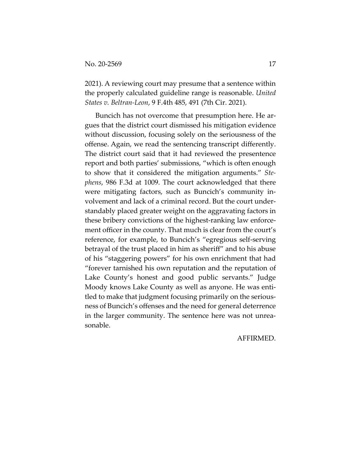2021). A reviewing court may presume that a sentence within the properly calculated guideline range is reasonable. *United States v. Beltran-Leon*, 9 F.4th 485, 491 (7th Cir. 2021).

Buncich has not overcome that presumption here. He argues that the district court dismissed his mitigation evidence without discussion, focusing solely on the seriousness of the offense. Again, we read the sentencing transcript differently. The district court said that it had reviewed the presentence report and both parties' submissions, "which is often enough to show that it considered the mitigation arguments." *Stephens*, 986 F.3d at 1009. The court acknowledged that there were mitigating factors, such as Buncich's community involvement and lack of a criminal record. But the court understandably placed greater weight on the aggravating factors in these bribery convictions of the highest-ranking law enforcement officer in the county. That much is clear from the court's reference, for example, to Buncich's "egregious self-serving betrayal of the trust placed in him as sheriff" and to his abuse of his "staggering powers" for his own enrichment that had "forever tarnished his own reputation and the reputation of Lake County's honest and good public servants." Judge Moody knows Lake County as well as anyone. He was entitled to make that judgment focusing primarily on the seriousness of Buncich's offenses and the need for general deterrence in the larger community. The sentence here was not unreasonable.

AFFIRMED.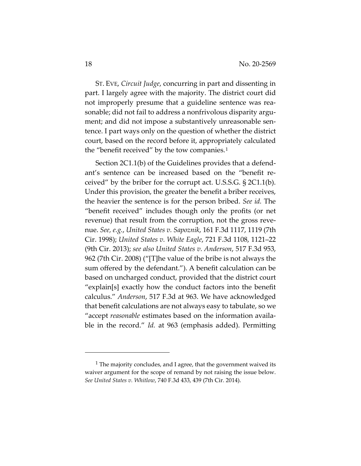ST. EVE, *Circuit Judge*, concurring in part and dissenting in part. I largely agree with the majority. The district court did not improperly presume that a guideline sentence was reasonable; did not fail to address a nonfrivolous disparity argument; and did not impose a substantively unreasonable sentence. I part ways only on the question of whether the district court, based on the record before it, appropriately calculated the "benefit received" by the tow companies. $1$ 

Section 2C1.1(b) of the Guidelines provides that a defendant's sentence can be increased based on the "benefit received" by the briber for the corrupt act. U.S.S.G. § 2C1.1(b). Under this provision, the greater the benefit a briber receives, the heavier the sentence is for the person bribed. *See id.* The "benefit received" includes though only the profits (or net revenue) that result from the corruption, not the gross revenue. *See, e.g.*, *United States v. Sapoznik*, 161 F.3d 1117, 1119 (7th Cir. 1998); *United States v. White Eagle*, 721 F.3d 1108, 1121–22 (9th Cir. 2013); *see also United States v. Anderson*, 517 F.3d 953, 962 (7th Cir. 2008) ("[T]he value of the bribe is not always the sum offered by the defendant."). A benefit calculation can be based on uncharged conduct, provided that the district court "explain[s] exactly how the conduct factors into the benefit calculus." *Anderson*, 517 F.3d at 963. We have acknowledged that benefit calculations are not always easy to tabulate, so we "accept *reasonable* estimates based on the information available in the record." *Id.* at 963 (emphasis added). Permitting

<sup>&</sup>lt;sup>1</sup> The majority concludes, and I agree, that the government waived its waiver argument for the scope of remand by not raising the issue below. *See United States v. Whitlow*, 740 F.3d 433, 439 (7th Cir. 2014).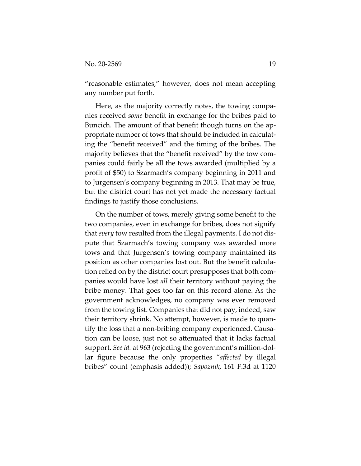"reasonable estimates," however, does not mean accepting any number put forth.

Here, as the majority correctly notes, the towing companies received *some* benefit in exchange for the bribes paid to Buncich. The amount of that benefit though turns on the appropriate number of tows that should be included in calculating the "benefit received" and the timing of the bribes. The majority believes that the "benefit received" by the tow companies could fairly be all the tows awarded (multiplied by a profit of \$50) to Szarmach's company beginning in 2011 and to Jurgensen's company beginning in 2013. That may be true, but the district court has not yet made the necessary factual findings to justify those conclusions.

On the number of tows, merely giving some benefit to the two companies, even in exchange for bribes, does not signify that *every* tow resulted from the illegal payments. I do not dispute that Szarmach's towing company was awarded more tows and that Jurgensen's towing company maintained its position as other companies lost out. But the benefit calculation relied on by the district court presupposes that both companies would have lost *all* their territory without paying the bribe money. That goes too far on this record alone. As the government acknowledges, no company was ever removed from the towing list. Companies that did not pay, indeed, saw their territory shrink. No attempt, however, is made to quantify the loss that a non-bribing company experienced. Causation can be loose, just not so attenuated that it lacks factual support. *See id.* at 963 (rejecting the government's million-dollar figure because the only properties "*affected* by illegal bribes" count (emphasis added)); *Sapoznik*, 161 F.3d at 1120